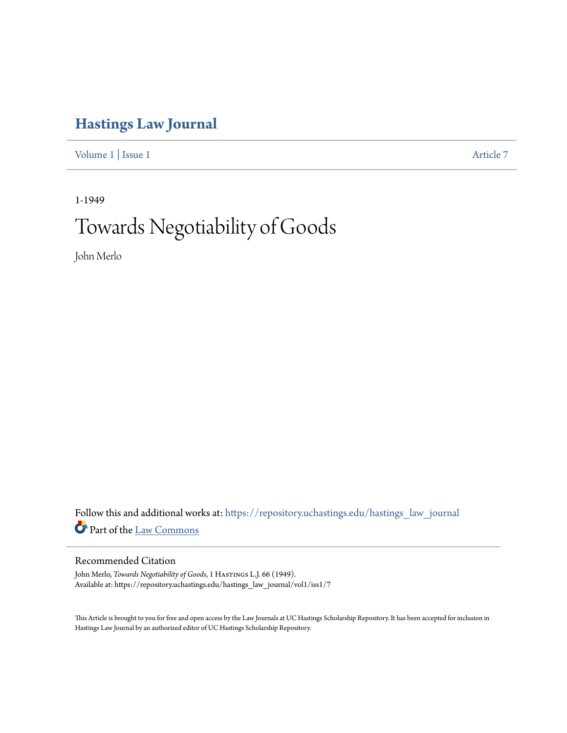## **[Hastings Law Journal](https://repository.uchastings.edu/hastings_law_journal?utm_source=repository.uchastings.edu%2Fhastings_law_journal%2Fvol1%2Fiss1%2F7&utm_medium=PDF&utm_campaign=PDFCoverPages)**

[Volume 1](https://repository.uchastings.edu/hastings_law_journal/vol1?utm_source=repository.uchastings.edu%2Fhastings_law_journal%2Fvol1%2Fiss1%2F7&utm_medium=PDF&utm_campaign=PDFCoverPages) | [Issue 1](https://repository.uchastings.edu/hastings_law_journal/vol1/iss1?utm_source=repository.uchastings.edu%2Fhastings_law_journal%2Fvol1%2Fiss1%2F7&utm_medium=PDF&utm_campaign=PDFCoverPages) [Article 7](https://repository.uchastings.edu/hastings_law_journal/vol1/iss1/7?utm_source=repository.uchastings.edu%2Fhastings_law_journal%2Fvol1%2Fiss1%2F7&utm_medium=PDF&utm_campaign=PDFCoverPages)

1-1949

## Towards Negotiability of Goods

John Merlo

Follow this and additional works at: [https://repository.uchastings.edu/hastings\\_law\\_journal](https://repository.uchastings.edu/hastings_law_journal?utm_source=repository.uchastings.edu%2Fhastings_law_journal%2Fvol1%2Fiss1%2F7&utm_medium=PDF&utm_campaign=PDFCoverPages) Part of the [Law Commons](http://network.bepress.com/hgg/discipline/578?utm_source=repository.uchastings.edu%2Fhastings_law_journal%2Fvol1%2Fiss1%2F7&utm_medium=PDF&utm_campaign=PDFCoverPages)

## Recommended Citation

John Merlo, *Towards Negotiability of Goods*, 1 Hastings L.J. 66 (1949). Available at: https://repository.uchastings.edu/hastings\_law\_journal/vol1/iss1/7

This Article is brought to you for free and open access by the Law Journals at UC Hastings Scholarship Repository. It has been accepted for inclusion in Hastings Law Journal by an authorized editor of UC Hastings Scholarship Repository.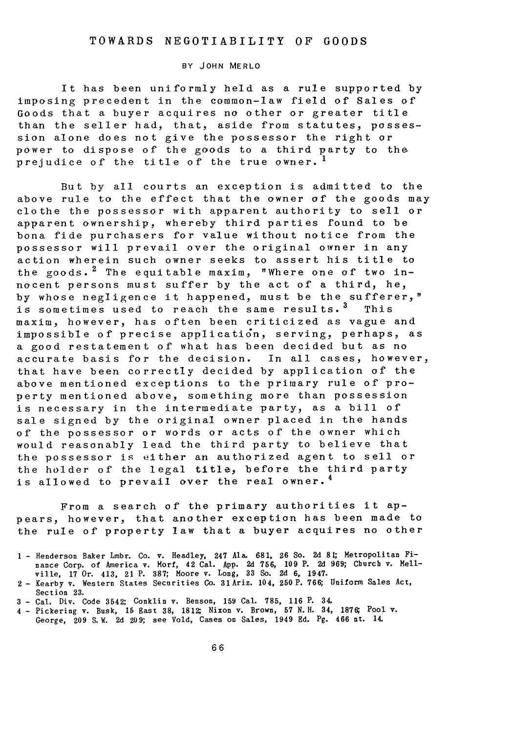## TOWARDS NEGOTIABILITY OF **GOODS**

BY JOHN MERLO

It has been uniformly held as a rule supported by imposing precedent in the common-law field of Sales of Goods that a buyer acquires no other or greater title than the seller had, that, aside from statutes, possession alone does not give the possessor the right or power to dispose of the goods to a third party to the prejudice of the title of the true owner. **<sup>I</sup>**

But by all courts an exception is admitted to the above rule to the effect that the owner of the goods may clothe the possessor with apparent authority to sell or apparent ownership, whereby third parties found to be bona fide purchasers for value without notice from the possessor will prevail over the original owner in any action wherein such owner seeks to assert his title to the goods.  $2$  The equitable maxim, "Where one of two innocent persons must suffer by the act of a third, he, by whose negligence it happened, must be the sufferer," is sometimes used to reach the same results.<sup>3</sup> This maxim, however, has often been criticized as vague and impossible of precise application, serving, perhaps, as a good restatement of what has been decided but as no accurate basis for the decision. In all cases, however, that have been correctly decided by application of the above mentioned exceptions to the primary rule of property mentioned above, something more than possession is necessary in the intermediate party, as a bill of sale signed by the original owner placed in the hands of the possessor or words or acts of the owner which would reasonably lead the third party to believe that the possessor is either an authorized agent to sell or the holder of the legal title, before the third part is allowed to prevail over the real owner.<sup>4</sup>

From a search of the primary authorities it appears, however, that another exception has been made to the rule of property law that a buyer acquires no other

<sup>4</sup>- Pickering v. Busk, 15 East **38, 1812** Nixon v. Brown, 57 N.H. **34, 1876** Pool v. George, **209 S.** W. **2d 209;** see Vold, Cases on Sales, 1949 Ed. Pg. 466 nt. 14.

<sup>1</sup> - Henderson Baker Lmbr. Co. v. Headley, 247 Ala. 681, **26** So. **2d** 8 Metropolitan Finance Corp. of America v. Morf, 42 Cal. App. **2d** 756, 109 P. 2d 969; Church v. Mell-ville, 17 Or. 413, 21 P. 387; Moore v. Long, 33 So. **2d** 6, 1947.

<sup>2</sup>- Kearby v. Western States Securities **Co.** 31Ariz. 104, 250P. 766; Uniform Sales Act, Section **23.**

**<sup>3</sup>**- Cal. Div. Code 3542; Conklin v. Benson, **159** Cal. **785, 116** P. 34.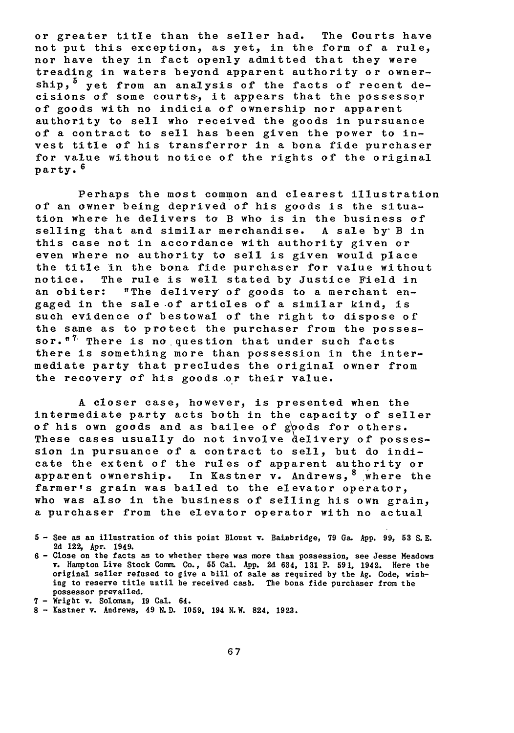or greater title than the seller had. The Courts have not put this exception, as yet, in the form of a rule, nor have they in fact openly admitted that they were treading in waters beyond apparent authority or ownership,  $5$  yet from an analysis of the facts of recent decisions of some courts, it appears that the possessor **of** goods with no indicia of ownership nor apparent authority to sell who received the goods in pursuance of a contract to sell has been given the power to invest title of his transferror in a bona fide purchaser for value without notice of the rights of the original party. **6**

Perhaps the most common and clearest illustration of an owner being deprived of his goods is the situation where he delivers to B who is in the business of selling that and similar merchandise. A sale by B in this case not in accordance with authority given or even where no authority to sell is given would place the title in the bona fide purchaser for value without notice. The rule is well stated by Justice Field in an obiter: "The delivery of goods to a merchant engaged in the sale of articles of a similar kind, is such evidence of bestowal of the right to dispose of the same as to protect the purchaser from the possessor. $"$  There is no question that under such facts there is something more than possession in the intermediate party that precludes the original owner from the recovery **of** his goods **or** their value.

A closer case, however, is presented when the intermediate party acts both in the capacity of seller of his own goods and as bailee of goods for others. These cases usually do not involve delivery of possession in pursuance **of** a contract to sell, but do indicate the extent of the rules of apparent authority or apparent ownership. In Kastner v. Andrews,  $8\frac{w}{x}$  where the farmer's grain was bailed to the elevator operator, who was also in the business of selling his own grain, a purchaser from the elevator operator with no actual

**<sup>5</sup> -** See as an illustration of this point Blount v. Bainbridge, **79** Ga. **App. 99, 53** S.E. **2d** 122, Apr. 1949.

**<sup>6 -</sup>** Close on the facts as to whether there was more than possession, see Jesse Meadows v. Hampton Live Stock Conr. Co., **55** Cal. App. **2d** 634, **131** P. **591,** 1942. Here the original seller refused to give a bill of sale as required **by** the **Ag.** Code, wishing to reserve title until he received cash. The bona fide purchaser from the possessor prevailed.

**<sup>7</sup>** - Wright v. Soloman, **19** Cal. 64.

**<sup>8</sup> -** Kastner v. Andrews, 49 **N.D. 1059,** 194 N.W. 824, **1923.**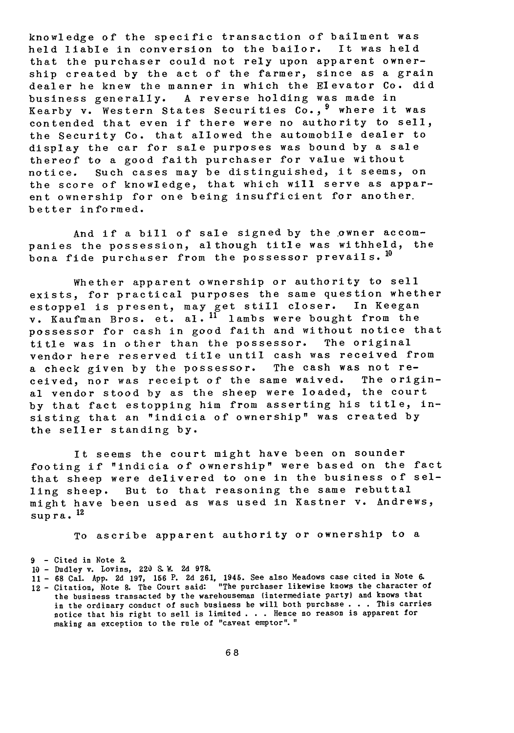knowledge of the specific transaction of bailment was held liable in conversion to the bailor. It was held that the purchaser could not rely upon apparent ownership created by the act of the farmer, since as a grain dealer he knew the manner in which the Elevator Co. did business generally. A reverse holding was made in Kearby v. Western States Securities Co., 9 where it was contended that even if there were no authority to sell, the Security Co. that allowed the automobile dealer to display the car for sale purposes was bound by a sale thereof to a good faith purchaser for value without notice. Such cases may be distinguished, it seems, on the score of knowledge, that which will serve as apparent ownership for one being insufficient for another. better informed.

And if a bill of sale signed by the owner accompanies the possession, although title was withheld, the bona fide purchaser from the possessor prevails.  $10$ 

Whether apparent ownership or authority to sell exists, for practical purposes the same question whether estoppel is present, may get still closer. In Keegan v. Kaufman Bros. et. al.<sup>11</sup> lambs were bought from the possessor for cash in good faith and without notice that title was in other than the possessor. The original vendor here reserved title until cash was received from a check given by the possessor. The cash was not received, nor was receipt of the same waived. The original vendor stood by as the sheep were loaded, the court by that fact estopping him from asserting his title, insisting that an "indicia of ownership" was created by the seller standing by.

It seems the court might have been on sounder footing if "indicia of ownership" were based on the fact that sheep were delivered to one in the business of selling sheep. But to that reasoning the same rebuttal might have been used as was used in Kastner v. Andrews, supra. 12

To ascribe apparent authority or ownership to a

- 
- **10 -** Dudley v. Lovins, 220 S. W. **2d 978. <sup>11</sup>- <sup>68</sup>**Cal. **App. 2d 197, 156** P. **2d 261,** 1945. See also Meadows case cited in Note **6.**
- 12 Citation, Note 8. The Court said: "The purchaser likewise knows the character of the business transacted **by** the warehouseman (intermediate party) and knows that in the ordinary conduct of such business he will both purchase **. . .** This carries notice that his right to sell is limited **. . .** Hence no reason is apparent for making an exception to the rule of "caveat emptor"."

<sup>9 -</sup> Cited in Note 2.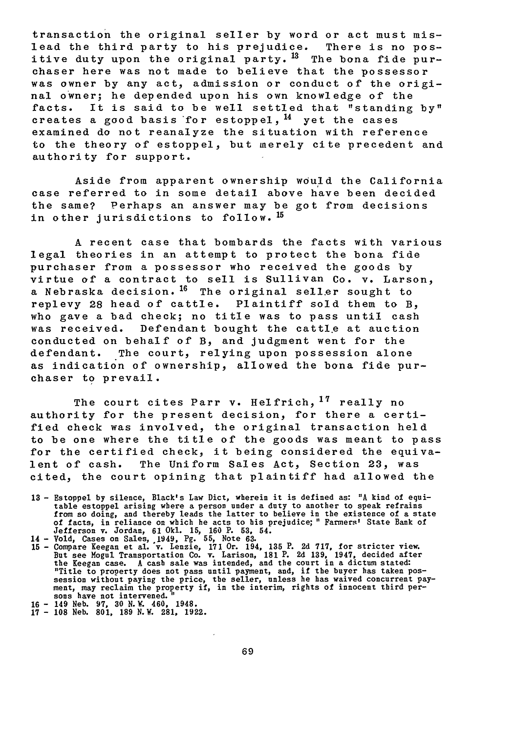transaction the original seller by word or act must mislead the third party to his prejudice. There is no positive duty upon the original party.<sup>13</sup> The bona fide purchaser here was not made to believe that the possessor was owner by any act, admission or conduct of the original owner; he depended upon his own knowledge of the facts. It is said to be well settled that "standing by" creates a good basis for estoppel,  $^{14}$  yet the cases examined do not reanalyze the situation with reference to the theory of estoppel, but merely cite precedent and authority for support.

Aside from apparent ownership would the California case referred to in some detail above have been decided the same? Perhaps an answer may be got from decisions in other jurisdictions to follow. <sup>15</sup>

A recent case that bombards the facts with various legal theories in an attempt to protect the bona fide purchaser from a possessor who received the goods by virtue of a contract to sell is Sullivan Co. v. Larson, a Nebraska decision. <sup>16</sup> The original seller sought to replevy 28 head of cattle. Plaintiff sold them to B, who gave a bad check; no title was to pass until cash was received. Defendant bought the cattle at auction conducted on behalf of B, and judgment went for the defendant. The court, relying upon possession alone as indication of ownership, allowed the bona fide purchaser to prevail.

The court cites Parr v. Helfrich, **17** really no authority for the present decision, for there a certified check was involved, the original transaction held to be one where the title of the goods was meant to pass for the certified check, it being considered the equivalent of cash. The Uniform Sales Act, Section **23,** was cited, the court opining that plaintiff had allowed the

- 13 **-** Estoppel by silence, Black's Law Dict, wherein it is defined as: **"A** kind of equitable estoppel arising where a person under a duty to another to speak refrains<br>from so doing, and thereby leads the latter to believe in the existence of a state<br>of facts, in reliance on which he acts to his prejudice; "F
- 
- "Title to property does not pass until payment, and, if the buyer has taken pos-<br>session without paying the price, the seller, unless he has waived concurrent pay-<br>ment, may reclaim the property if, in the interim, rights
- **16 -** 149 Neb. **97, 30 N.W.** 460, 1948. 17 **108** Neb. **801, 189** N.W. 281, **1922.**
-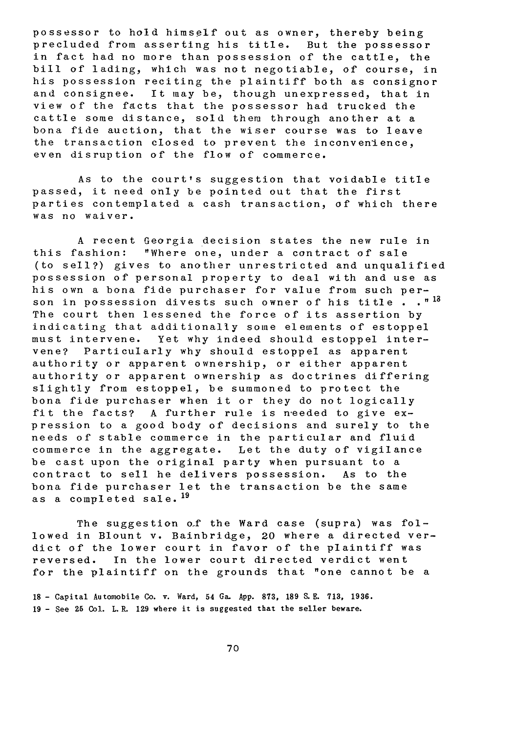possessor to hold himself out as owner, thereby being precluded from asserting his title. But the possessor in fact had no more than possession of the cattle, the bill of lading, which was not negotiable, of course, in his possession reciting the plaintiff both as consignor and consignee. It may be, though unexpressed, that in view of the facts that the possessor had trucked the cattle some distance, sold them through another at a bona fide auction, that the wiser course was to leave the transaction closed to prevent the inconvenience, even disruption of the flow of commerce.

As to the court's suggestion that voidable title passed, it need only be pointed out that the first parties contemplated a cash transaction, of which there was no waiver.

A recent Georgia decision states the new rule in this fashion: "Where one, under a contract of sale (to sell?) gives to another unrestricted and unqualified possession of personal property to deal with and use as his own a bona fide purchaser for value from such person in possession divests such owner of his title **. . " <sup>18</sup>** The court then lessened the force of its assertion by indicating that additionally some elements of estoppel must intervene. Yet why indeed should estoppel intervene? Particularly why should estoppel as apparent authority or apparent ownership, or either apparent authority or apparent ownership as doctrines differing slightly from estoppel, be summoned to protect the bona fide purchaser when it or they do not logically fit the facts? A further rule is needed to give expression to a good body of decisions and surely to the needs of stable commerce in the particular and fluid commerce in the aggregate. Let the duty of vigilance be cast upon the original party when pursuant to a contract to sell he delivers possession. As to the bona fide purchaser let the transaction be the same as a completed sale.19

The suggestion of the Ward case (supra) was followed in Blount v. Bainbridge, 20 where a directed verdict of the lower court in favor of the plaintiff was reversed. In the lower court directed verdict went for the plaintiff on the grounds that "one cannot be a

**<sup>18</sup>-** Capital Automobile Co. v. Ward, 54 Ga. App. **873, 189 S. E. 713, 1936. 19** - See **25** Col. L.R. **129** where it is suggested that the seller beware.